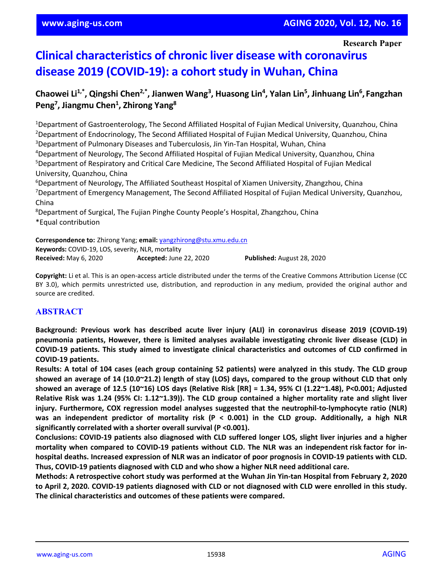**Research Paper**

# **Clinical characteristics of chronic liver disease with coronavirus disease 2019 (COVID-19): a cohort study in Wuhan, China**

# Chaowei Li<sup>1,\*</sup>, Qingshi Chen<sup>2,\*</sup>, Jianwen Wang<sup>3</sup>, Huasong Lin<sup>4</sup>, Yalan Lin<sup>5</sup>, Jinhuang Lin<sup>6</sup>, Fangzhan Peng<sup>7</sup>, Jiangmu Chen<sup>1</sup>, Zhirong Yang<sup>8</sup>

<sup>1</sup>Department of Gastroenterology, The Second Affiliated Hospital of Fujian Medical University, Quanzhou, China <sup>2</sup>Department of Endocrinology, The Second Affiliated Hospital of Fujian Medical University, Quanzhou, China 3 Department of Pulmonary Diseases and Tuberculosis, Jin Yin-Tan Hospital, Wuhan, China

4 Department of Neurology, The Second Affiliated Hospital of Fujian Medical University, Quanzhou, China 5 Department of Respiratory and Critical Care Medicine, The Second Affiliated Hospital of Fujian Medical University, Quanzhou, China

6 Department of Neurology, The Affiliated Southeast Hospital of Xiamen University, Zhangzhou, China <sup>7</sup>Department of Emergency Management, The Second Affiliated Hospital of Fujian Medical University, Quanzhou, China

<sup>8</sup>Department of Surgical, The Fujian Pinghe County People's Hospital, Zhangzhou, China \*Equal contribution

**Correspondence to:** Zhirong Yang; **email:** [yangzhirong@stu.xmu.edu.cn](mailto:yangzhirong@stu.xmu.edu.cn) **Keywords:** COVID-19, LOS, severity, NLR, mortality **Received:** May 6, 2020 **Accepted:** June 22, 2020 **Published:** August 28, 2020

**Copyright:** Li et al. This is an open-access article distributed under the terms of the Creative Commons Attribution License (CC BY 3.0), which permits unrestricted use, distribution, and reproduction in any medium, provided the original author and source are credited.

# **ABSTRACT**

**Background: Previous work has described acute liver injury (ALI) in coronavirus disease 2019 (COVID-19) pneumonia patients, However, there is limited analyses available investigating chronic liver disease (CLD) in COVID-19 patients. This study aimed to investigate clinical characteristics and outcomes of CLD confirmed in COVID-19 patients.**

Results: A total of 104 cases (each group containing 52 patients) were analyzed in this study. The CLD group showed an average of 14 (10.0~21.2) length of stay (LOS) days, compared to the group without CLD that only showed an average of 12.5 (10~16) LOS days (Relative Risk [RR] = 1.34, 95% CI (1.22~1.48), P<0.001; Adjusted Relative Risk was 1.24 (95% CI: 1.12~1.39)). The CLD group contained a higher mortality rate and slight liver **injury. Furthermore, COX regression model analyses suggested that the neutrophil-to-lymphocyte ratio (NLR)** was an independent predictor of mortality risk ( $P < 0.001$ ) in the CLD group. Additionally, a high NLR **significantly correlated with a shorter overall survival (P <0.001).**

**Conclusions: COVID-19 patients also diagnosed with CLD suffered longer LOS, slight liver injuries and a higher mortality when compared to COVID-19 patients without CLD. The NLR was an independent risk factor for in**hospital deaths. Increased expression of NLR was an indicator of poor prognosis in COVID-19 patients with CLD. **Thus, COVID-19 patients diagnosed with CLD and who show a higher NLR need additional care.**

Methods: A retrospective cohort study was performed at the Wuhan Jin Yin-tan Hospital from February 2, 2020 to April 2, 2020. COVID-19 patients diagnosed with CLD or not diagnosed with CLD were enrolled in this study. **The clinical characteristics and outcomes of these patients were compared.**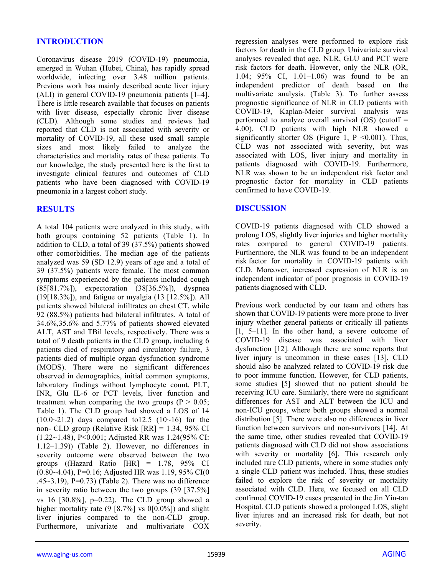### **INTRODUCTION**

Coronavirus disease 2019 (COVID-19) pneumonia, emerged in Wuhan (Hubei, China), has rapidly spread worldwide, infecting over 3.48 million patients. Previous work has mainly described acute liver injury (ALI) in general COVID-19 pneumonia patients [1–4]. There is little research available that focuses on patients with liver disease, especially chronic liver disease (CLD). Although some studies and reviews had reported that CLD is not associated with severity or mortality of COVID-19, all these used small sample sizes and most likely failed to analyze the characteristics and mortality rates of these patients. To our knowledge, the study presented here is the first to investigate clinical features and outcomes of CLD patients who have been diagnosed with COVID-19 pneumonia in a largest cohort study.

#### **RESULTS**

A total 104 patients were analyzed in this study, with both groups containing 52 patients (Table 1). In addition to CLD, a total of 39 (37.5%) patients showed other comorbidities. The median age of the patients analyzed was 59 (SD 12.9) years of age and a total of 39 (37.5%) patients were female. The most common symptoms experienced by the patients included cough (85[81.7%]), expectoration (38[36.5%]), dyspnea (19[18.3%]), and fatigue or myalgia (13 [12.5%]). All patients showed bilateral infiltrates on chest CT, while 92 (88.5%) patients had bilateral infiltrates. A total of 34.6%,35.6% and 5.77% of patients showed elevated ALT, AST and TBil levels, respectively. There was a total of 9 death patients in the CLD group, including 6 patients died of respiratory and circulatory failure, 3 patients died of multiple organ dysfunction syndrome (MODS). There were no significant differences observed in demographics, initial common symptoms, laboratory findings without lymphocyte count, PLT, INR, Glu IL-6 or PCT levels, liver function and treatment when comparing the two groups  $(P > 0.05)$ ; Table 1). The CLD group had showed a LOS of 14  $(10.0~21.2)$  days compared to 12.5  $(10~16)$  for the non- CLD group (Relative Risk [RR] = 1.34, 95% CI (1.22~1.48), P<0.001; Adjusted RR was 1.24(95% CI: 1.12–1.39)) (Table 2). However, no differences in severity outcome were observed between the two groups ((Hazard Ratio  $|HR| = 1.78$ , 95% CI  $(0.80-4.04)$ , P=0.16; Adjusted HR was 1.19, 95% CI(0 .45~3.19),  $P=0.73$ ) (Table 2). There was no difference in severity ratio between the two groups (39 [37.5%] vs 16 [30.8%], p=0.22). The CLD group showed a higher mortality rate  $(9 \t{8.7\%} \t{vs} 0 \t{0.0\%} )$  and slight liver injuries compared to the non-CLD group. Furthermore, univariate and multivariate COX

regression analyses were performed to explore risk factors for death in the CLD group. Univariate survival analyses revealed that age, NLR, GLU and PCT were risk factors for death. However, only the NLR (OR, 1.04; 95% CI, 1.01–1.06) was found to be an independent predictor of death based on the multivariate analysis. (Table 3). To further assess prognostic significance of NLR in CLD patients with COVID-19, Kaplan-Meier survival analysis was performed to analyze overall survival  $(OS)$  (cutoff = 4.00). CLD patients with high NLR showed a significantly shorter OS (Figure 1,  $P \le 0.001$ ). Thus, CLD was not associated with severity, but was associated with LOS, liver injury and mortality in patients diagnosed with COVID-19. Furthermore, NLR was shown to be an independent risk factor and prognostic factor for mortality in CLD patients confirmed to have COVID-19.

#### **DISCUSSION**

COVID-19 patients diagnosed with CLD showed a prolong LOS, slightly liver injuries and higher mortality rates compared to general COVID-19 patients. Furthermore, the NLR was found to be an independent risk factor for mortality in COVID-19 patients with CLD. Moreover, increased expression of NLR is an independent indicator of poor prognosis in COVID-19 patients diagnosed with CLD.

Previous work conducted by our team and others has shown that COVID-19 patients were more prone to liver injury whether general patients or critically ill patients [1, 5–11]. In the other hand, a severe outcome of COVID-19 disease was associated with liver dysfunction [12]. Although there are some reports that liver injury is uncommon in these cases [13], CLD should also be analyzed related to COVID-19 risk due to poor immune function. However, for CLD patients, some studies [5] showed that no patient should be receiving ICU care. Similarly, there were no significant differences for AST and ALT between the ICU and non-ICU groups, where both groups showed a normal distribution [5]. There were also no differences in liver function between survivors and non-survivors [14]. At the same time, other studies revealed that COVID-19 patients diagnosed with CLD did not show associations with severity or mortality [6]. This research only included rare CLD patients, where in some studies only a single CLD patient was included. Thus, these studies failed to explore the risk of severity or mortality associated with CLD. Here, we focused on all CLD confirmed COVID-19 cases presented in the Jin Yin-tan Hospital. CLD patients showed a prolonged LOS, slight liver injures and an increased risk for death, but not severity.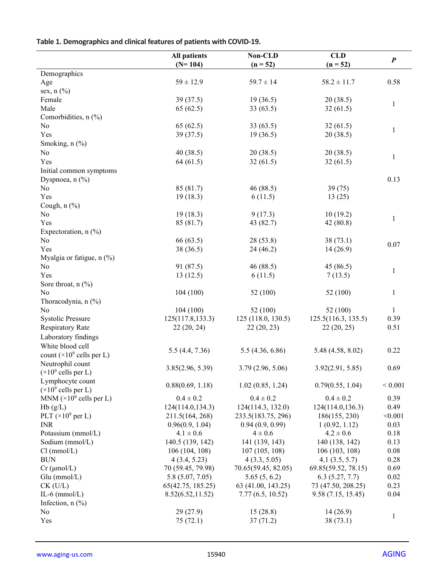# **Table 1. Demographics and clinical features of patients with COVID-19.**

|                                             | <b>All patients</b> | Non-CLD             | <b>CLD</b>          |                  |
|---------------------------------------------|---------------------|---------------------|---------------------|------------------|
|                                             | $(N=104)$           | $(n = 52)$          | $(n = 52)$          | $\boldsymbol{P}$ |
| Demographics                                |                     |                     |                     |                  |
| Age                                         | $59 \pm 12.9$       | $59.7 \pm 14$       | $58.2 \pm 11.7$     | 0.58             |
| sex, $n$ $(\%)$                             |                     |                     |                     |                  |
| Female                                      | 39(37.5)            | 19(36.5)            | 20(38.5)            | $\mathbf{1}$     |
| Male                                        | 65(62.5)            | 33(63.5)            | 32(61.5)            |                  |
| Comorbidities, n (%)                        |                     |                     |                     |                  |
| No                                          | 65(62.5)            | 33(63.5)            | 32(61.5)            | $\mathbf{1}$     |
| Yes                                         | 39(37.5)            | 19(36.5)            | 20(38.5)            |                  |
| Smoking, n (%)                              |                     |                     |                     |                  |
| No                                          | 40(38.5)            | 20(38.5)            | 20(38.5)            | $\mathbf{1}$     |
| Yes                                         | 64(61.5)            | 32(61.5)            | 32(61.5)            |                  |
| Initial common symptoms                     |                     |                     |                     |                  |
| Dyspnoea, $n$ (%)                           |                     |                     |                     | 0.13             |
| No                                          | 85 (81.7)           | 46 (88.5)           | 39(75)              |                  |
| Yes                                         | 19(18.3)            | 6(11.5)             | 13(25)              |                  |
| Cough, $n$ $(\%)$                           |                     |                     |                     |                  |
| No                                          | 19(18.3)            | 9(17.3)             | 10(19.2)            | $\mathbf{1}$     |
| Yes                                         | 85 (81.7)           | 43 (82.7)           | 42(80.8)            |                  |
| Expectoration, $n$ (%)                      |                     |                     |                     |                  |
| No                                          | 66 (63.5)           | 28 (53.8)           | 38(73.1)            | 0.07             |
| Yes                                         | 38 (36.5)           | 24 (46.2)           | 14(26.9)            |                  |
| Myalgia or fatigue, n (%)                   |                     |                     |                     |                  |
| No                                          | 91 (87.5)           | 46 (88.5)           | 45 (86.5)           | $\mathbf{1}$     |
| Yes                                         | 13(12.5)            | 6(11.5)             | 7(13.5)             |                  |
| Sore throat, $n$ (%)                        |                     |                     |                     |                  |
| $\rm No$                                    | 104(100)            | 52 (100)            | 52 (100)            | $\mathbf{1}$     |
| Thoracodynia, n (%)                         |                     |                     |                     |                  |
| No                                          | 104(100)            | 52 (100)            | 52(100)             | $\mathbf{1}$     |
| <b>Systolic Pressure</b>                    | 125(117.8, 133.3)   | 125 (118.0, 130.5)  | 125.5(116.3, 135.5) | 0.39             |
| Respiratory Rate                            | 22(20, 24)          | 22(20, 23)          | 22(20, 25)          | 0.51             |
| Laboratory findings                         |                     |                     |                     |                  |
| White blood cell                            |                     |                     |                     |                  |
| count $(\times 10^9 \text{ cells per L})$   | 5.5(4.4, 7.36)      | 5.5(4.36, 6.86)     | 5.48 (4.58, 8.02)   | 0.22             |
| Neutrophil count                            |                     |                     |                     |                  |
| $(\times 10^9 \text{ cells per L})$         | 3.85(2.96, 5.39)    | 3.79(2.96, 5.06)    | 3.92(2.91, 5.85)    | 0.69             |
| Lymphocyte count                            |                     |                     |                     |                  |
| $(\times 10^9 \text{ cells per L})$         | 0.88(0.69, 1.18)    | 1.02(0.85, 1.24)    | 0.79(0.55, 1.04)    | ${}< 0.001$      |
| MNM ( $\times$ 10 <sup>9</sup> cells per L) | $0.4 \pm 0.2$       | $0.4 \pm 0.2$       | $0.4 \pm 0.2$       | 0.39             |
| Hb(g/L)                                     | 124(114.0,134.3)    | 124(114.3, 132.0)   | 124(114.0,136.3)    | 0.49             |
| PLT $(\times 10^9$ per L)                   | 211.5(164, 268)     | 233.5(183.75, 296)  | 186(155, 230)       | < 0.001          |
| <b>INR</b>                                  | 0.96(0.9, 1.04)     | 0.94(0.9, 0.99)     | 1(0.92, 1.12)       | 0.03             |
| Potassium (mmol/L)                          | $4.1 \pm 0.6$       | $4 \pm 0.6$         | $4.2 \pm 0.6$       | 0.18             |
| Sodium (mmol/L)                             | 140.5 (139, 142)    | 141 (139, 143)      | 140 (138, 142)      | 0.13             |
| Cl (mmol/L)                                 | 106(104, 108)       | 107(105, 108)       | 106(103, 108)       | 0.08             |
| <b>BUN</b>                                  | 4(3.4, 5.23)        | 4(3.3, 5.05)        | 4.1(3.5, 5.7)       | 0.28             |
| $Cr$ ( $\mu$ mol/L)                         | 70 (59.45, 79.98)   | 70.65(59.45, 82.05) | 69.85(59.52, 78.15) | 0.69             |
| $Glu$ (mmol/L)                              | 5.8 (5.07, 7.05)    | 5.65(5, 6.2)        | 6.3(5.27, 7.7)      | 0.02             |
| $CK$ (U/L)                                  | 65(42.75, 185.25)   | 63 (41.00, 143.25)  | 73 (47.50, 208.25)  | 0.23             |
| IL-6 $(mmol/L)$                             | 8.52(6.52, 11.52)   | 7.77(6.5, 10.52)    | 9.58(7.15, 15.45)   | 0.04             |
| Infection, $n$ $(\%)$                       |                     |                     |                     |                  |
| No                                          | 29 (27.9)           | 15(28.8)            | 14(26.9)            |                  |
| Yes                                         | 75(72.1)            | 37(71.2)            | 38(73.1)            | $\mathbf{1}$     |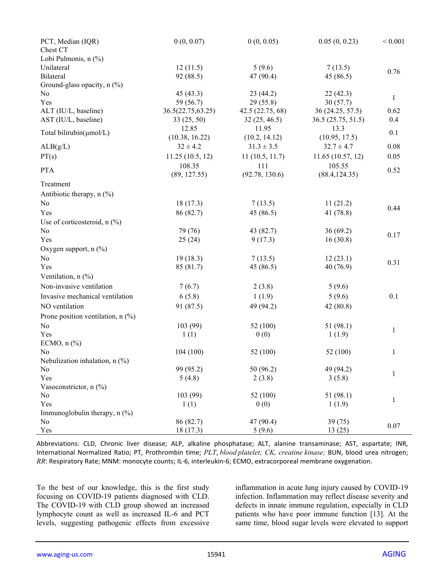| PCT, Median (IQR)<br>Chest CT       | 0(0, 0.07)        | 0(0, 0.05)       | 0.05(0, 0.23)      | ${}< 0.001$  |
|-------------------------------------|-------------------|------------------|--------------------|--------------|
| Lobi Pulmonis, n (%)                |                   |                  |                    |              |
| Unilateral                          | 12(11.5)          | 5(9.6)           | 7(13.5)            |              |
| Bilateral                           | 92 (88.5)         | 47 (90.4)        | 45 (86.5)          | 0.76         |
| Ground-glass opacity, n (%)         |                   |                  |                    |              |
| No                                  | 45 (43.3)         | 23(44.2)         | 22(42.3)           |              |
| Yes                                 | 59 (56.7)         | 29(55.8)         | 30(57.7)           | $\mathbf{1}$ |
| ALT (IU/L, baseline)                | 36.5(22.75,63.25) | 42.5 (22.75, 68) | 36 (24.25, 57.5)   | 0.62         |
| AST (IU/L, baseline)                | 33(25, 50)        | 32(25, 46.5)     | 36.5 (25.75, 51.5) | 0.4          |
|                                     | 12.85             | 11.95            | 13.3               |              |
| Total bilirubin(umol/L)             | (10.38, 16.22)    | (10.2, 14.12)    | (10.95, 17.5)      | 0.1          |
| ALB(g/L)                            | $32 \pm 4.2$      | $31.3 \pm 3.5$   | $32.7 \pm 4.7$     | 0.08         |
| PT(s)                               | 11.25(10.5, 12)   | 11(10.5, 11.7)   | 11.65(10.57, 12)   | 0.05         |
|                                     | 108.35            | 111              | 105.55             |              |
| <b>PTA</b>                          | (89, 127.55)      | (92.78, 130.6)   | (88.4, 124.35)     | 0.52         |
| Treatment                           |                   |                  |                    |              |
| Antibiotic therapy, n (%)           |                   |                  |                    |              |
| No                                  | 18(17.3)          | 7(13.5)          | 11(21.2)           | 0.44         |
| Yes                                 | 86 (82.7)         | 45 (86.5)        | 41 (78.8)          |              |
| Use of corticosteroid, $n$ (%)      |                   |                  |                    |              |
| No                                  | 79 (76)           | 43 (82.7)        | 36(69.2)           | 0.17         |
| Yes                                 | 25(24)            | 9(17.3)          | 16(30.8)           |              |
| Oxygen support, $n$ (%)             |                   |                  |                    |              |
| No                                  | 19(18.3)          | 7(13.5)          | 12(23.1)           | 0.31         |
| Yes                                 | 85 (81.7)         | 45(86.5)         | 40(76.9)           |              |
| Ventilation, n (%)                  |                   |                  |                    |              |
| Non-invasive ventilation            | 7(6.7)            | 2(3.8)           | 5(9.6)             |              |
| Invasive mechanical ventilation     | 6(5.8)            | 1(1.9)           | 5(9.6)             | 0.1          |
| NO ventilation                      | 91 (87.5)         | 49 (94.2)        | 42(80.8)           |              |
| Prone position ventilation, $n$ (%) |                   |                  |                    |              |
| No                                  | 103 (99)          | 52 (100)         | 51(98.1)           |              |
| Yes                                 | 1(1)              | 0(0)             | 1(1.9)             | $\mathbf{1}$ |
| ECMO, $n$ $%$                       |                   |                  |                    |              |
| N <sub>0</sub>                      | 104(100)          | 52 (100)         | 52 (100)           | 1            |
| Nebulization inhalation, $n$ (%)    |                   |                  |                    |              |
| No                                  | 99 (95.2)         | 50 (96.2)        | 49 (94.2)          |              |
| Yes                                 | 5(4.8)            | 2(3.8)           | 3(5.8)             | $\mathbf{1}$ |
| Vasoconstrictor, $n$ (%)            |                   |                  |                    |              |
| No                                  | 103 (99)          | 52 (100)         | 51 (98.1)          | $\mathbf{1}$ |
| Yes                                 | 1(1)              | 0(0)             | 1(1.9)             |              |
| Immunoglobulin therapy, $n$ (%)     |                   |                  |                    |              |
| No                                  | 86 (82.7)         | 47 (90.4)        | 39 (75)            | $0.07\,$     |
| Yes                                 | 18(17.3)          | 5(9.6)           | 13(25)             |              |

Abbreviations: CLD, Chronic liver disease; ALP, alkaline phosphatase; ALT, alanine transaminase; AST, aspartate; INR, International Normalized Ratio; PT, Prothrombin time; *PLT*, *blood platelet; CK, creatine kinase;* BUN, blood urea nitrogen; *RR*: Respiratory Rate; MNM: monocyte counts; IL-6, interleukin-6; ECMO, extracorporeal membrane oxygenation.

To the best of our knowledge, this is the first study focusing on COVID-19 patients diagnosed with CLD. The COVID-19 with CLD group showed an increased lymphocyte count as well as increased IL-6 and PCT levels, suggesting pathogenic effects from excessive inflammation in acute lung injury caused by COVID-19 infection. Inflammation may reflect disease severity and defects in innate immune regulation, especially in CLD patients who have poor immune function [13]. At the same time, blood sugar levels were elevated to support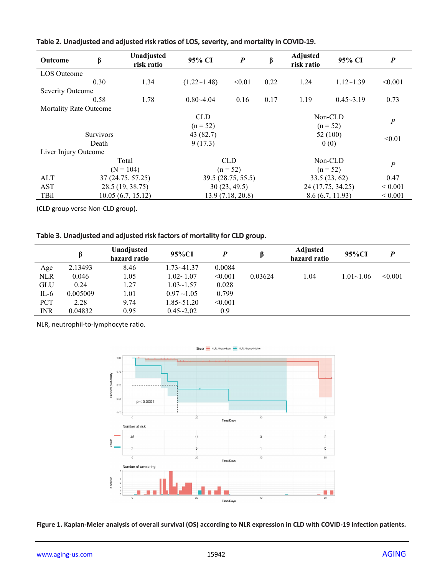| <b>Outcome</b>                | β                 | Unadjusted<br>risk ratio               | 95% CI             | $\boldsymbol{P}$ | $\boldsymbol{\beta}$ | <b>Adjusted</b><br>risk ratio | 95% CI            | $\boldsymbol{P}$ |
|-------------------------------|-------------------|----------------------------------------|--------------------|------------------|----------------------|-------------------------------|-------------------|------------------|
| <b>LOS</b> Outcome            |                   |                                        |                    |                  |                      |                               |                   |                  |
|                               | 0.30              | 1.34                                   | $(1.22 \sim 1.48)$ | < 0.01           | 0.22                 | 1.24                          | $1.12 - 1.39$     | < 0.001          |
| Severity Outcome              |                   |                                        |                    |                  |                      |                               |                   |                  |
|                               | 0.58              | 1.78                                   | $0.80 - 4.04$      | 0.16             | 0.17                 | 1.19                          | $0.45 - 3.19$     | 0.73             |
| <b>Mortality Rate Outcome</b> |                   |                                        |                    |                  |                      |                               |                   |                  |
|                               |                   |                                        | <b>CLD</b>         |                  |                      |                               | Non-CLD           |                  |
|                               |                   |                                        | $(n = 52)$         |                  |                      |                               | $(n = 52)$        | $\boldsymbol{P}$ |
|                               | <b>Survivors</b>  |                                        | 43 (82.7)          |                  |                      |                               | 52 (100)          |                  |
|                               | Death             |                                        | 9(17.3)            |                  |                      |                               | 0(0)              | < 0.01           |
| Liver Injury Outcome          |                   |                                        |                    |                  |                      |                               |                   |                  |
| Total                         |                   | <b>CLD</b>                             |                    | Non-CLD          |                      | $\cal P$                      |                   |                  |
| $(N = 104)$                   |                   | $(n = 52)$                             |                    | $(n = 52)$       |                      |                               |                   |                  |
| ALT                           | 37 (24.75, 57.25) |                                        | 39.5 (28.75, 55.5) |                  |                      | 33.5(23, 62)                  |                   | 0.47             |
| AST                           | 28.5 (19, 38.75)  |                                        |                    | 30(23, 49.5)     |                      |                               | 24 (17.75, 34.25) | ${}< 0.001$      |
| TBil                          |                   | 10.05(6.7, 15.12)<br>13.9 (7.18, 20.8) |                    |                  |                      |                               | 8.6(6.7, 11.93)   | ${}_{0.001}$     |

## **Table 2. Unadjusted and adjusted risk ratios of LOS, severity, and mortality in COVID-19.**

(CLD group verse Non-CLD group).

|            |          | Unadjusted<br>hazard ratio | 95%CI            | D       |         | <b>Adjusted</b><br>hazard ratio | 95%CI         |         |
|------------|----------|----------------------------|------------------|---------|---------|---------------------------------|---------------|---------|
| Age        | 2.13493  | 8.46                       | 1.73~41.37       | 0.0084  |         |                                 |               |         |
| <b>NLR</b> | 0.046    | 1.05                       | $1.02 - 1.07$    | < 0.001 | 0.03624 | 1.04                            | $1.01 - 1.06$ | < 0.001 |
| <b>GLU</b> | 0.24     | 1.27                       | $1.03 - 1.57$    | 0.028   |         |                                 |               |         |
| $IL-6$     | 0.005009 | 1.01                       | $0.97 \sim 1.05$ | 0.799   |         |                                 |               |         |
| <b>PCT</b> | 2.28     | 9.74                       | 1.85~51.20       | < 0.001 |         |                                 |               |         |
| INR        | 0.04832  | 0.95                       | $0.45 - 2.02$    | 0.9     |         |                                 |               |         |

NLR, neutrophil-to-lymphocyte ratio.



**Figure 1. Kaplan-Meier analysis of overall survival (OS) according to NLR expression in CLD with COVID-19 infection patients.**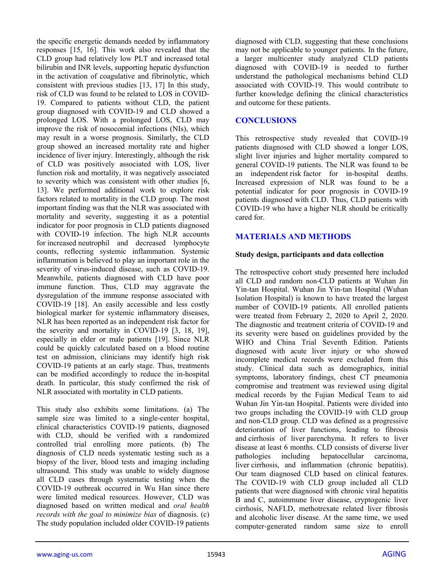the specific energetic demands needed by inflammatory responses [15, 16]. This work also revealed that the CLD group had relatively low PLT and increased total bilirubin and INR levels, supporting hepatic dysfunction in the activation of coagulative and fibrinolytic, which consistent with previous studies [13, 17] In this study, risk of CLD was found to be related to LOS in COVID-19. Compared to patients without CLD, the patient group diagnosed with COVID-19 and CLD showed a prolonged LOS. With a prolonged LOS, CLD may improve the risk of nosocomial infections (NIs), which may result in a worse prognosis. Similarly, the CLD group showed an increased mortality rate and higher incidence of liver injury. Interestingly, although the risk of CLD was positively associated with LOS, liver function risk and mortality, it was negatively associated to severity which was consistent with other studies [6, 13]. We performed additional work to explore risk factors related to mortality in the CLD group. The most important finding was that the NLR was associated with mortality and severity, suggesting it as a potential indicator for poor prognosis in CLD patients diagnosed with COVID-19 infection. The high NLR accounts for increased neutrophil and decreased lymphocyte counts, reflecting systemic inflammation. Systemic inflammation is believed to play an important role in the severity of virus-induced disease, such as COVID-19. Meanwhile, patients diagnosed with CLD have poor immune function. Thus, CLD may aggravate the dysregulation of the immune response associated with COVID-19 [18]. An easily accessible and less costly biological marker for systemic inflammatory diseases, NLR has been reported as an independent risk factor for the severity and mortality in COVID-19 [3, 18, 19], especially in elder or male patients [19]. Since NLR could be quickly calculated based on a blood routine test on admission, clinicians may identify high risk COVID-19 patients at an early stage. Thus, treatments can be modified accordingly to reduce the in-hospital death. In particular, this study confirmed the risk of NLR associated with mortality in CLD patients.

This study also exhibits some limitations. (a) The sample size was limited to a single-center hospital, clinical characteristics COVID-19 patients, diagnosed with CLD, should be verified with a randomized controlled trial enrolling more patients. (b) The diagnosis of CLD needs systematic testing such as a biopsy of the liver, blood tests and imaging including ultrasound. This study was unable to widely diagnose all CLD cases through systematic testing when the COVID-19 outbreak occurred in Wu Han since there were limited medical resources. However, CLD was diagnosed based on written medical and *oral health records with the goal to minimize bias* of diagnosis. (c) The study population included older COVID-19 patients diagnosed with CLD, suggesting that these conclusions may not be applicable to younger patients. In the future, a larger multicenter study analyzed CLD patients diagnosed with COVID-19 is needed to further understand the pathological mechanisms behind CLD associated with COVID-19. This would contribute to further knowledge defining the clinical characteristics and outcome for these patients.

### **CONCLUSIONS**

This retrospective study revealed that COVID-19 patients diagnosed with CLD showed a longer LOS, slight liver injuries and higher mortality compared to general COVID-19 patients. The NLR was found to be an independent risk factor for in-hospital deaths. Increased expression of NLR was found to be a potential indicator for poor prognosis in COVID-19 patients diagnosed with CLD. Thus, CLD patients with COVID-19 who have a higher NLR should be critically cared for.

## **MATERIALS AND METHODS**

#### **Study design, participants and data collection**

The retrospective cohort study presented here included all CLD and random non-CLD patients at Wuhan Jin Yin-tan Hospital. Wuhan Jin Yin-tan Hospital (Wuhan Isolation Hospital) is known to have treated the largest number of COVID-19 patients. All enrolled patients were treated from February 2, 2020 to April 2, 2020. The diagnostic and treatment criteria of COVID-19 and its severity were based on guidelines provided by the WHO and China Trial Seventh Edition. Patients diagnosed with acute liver injury or who showed incomplete medical records were excluded from this study. Clinical data such as demographics, initial symptoms, laboratory findings, chest CT pneumonia compromise and treatment was reviewed using digital medical records by the Fujian Medical Team to aid Wuhan Jin Yin-tan Hospital. Patients were divided into two groups including the COVID-19 with CLD group and non-CLD group. CLD was defined as a progressive deterioration of liver functions, leading to fibrosis and cirrhosis of liver parenchyma. It refers to liver disease at least 6 months. CLD consists of diverse liver pathologies including hepatocellular carcinoma, liver cirrhosis, and inflammation (chronic hepatitis). Our team diagnosed CLD based on clinical features. The COVID-19 with CLD group included all CLD patients that were diagnosed with chronic viral hepatitis B and C, autoimmune liver disease, cryptogenic liver cirrhosis, NAFLD, methotrexate related liver fibrosis and alcoholic liver disease. At the same time, we used computer-generated random same size to enroll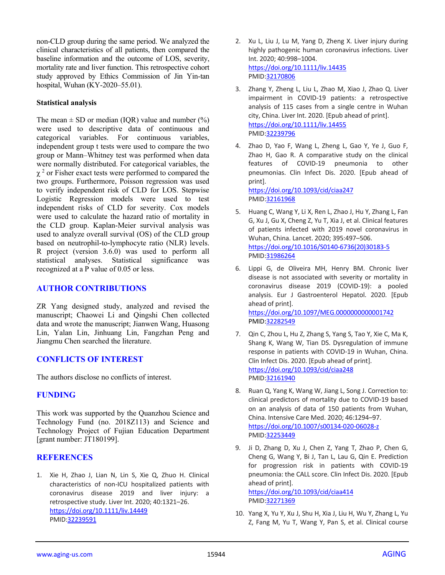non-CLD group during the same period. We analyzed the clinical characteristics of all patients, then compared the baseline information and the outcome of LOS, severity, mortality rate and liver function. This retrospective cohort study approved by Ethics Commission of Jin Yin-tan hospital, Wuhan (KY-2020–55.01).

#### **Statistical analysis**

The mean  $\pm$  SD or median (IQR) value and number (%) were used to descriptive data of continuous and categorical variables. For continuous variables, independent group t tests were used to compare the two group or Mann–Whitney test was performed when data were normally distributed. For categorical variables, the  $\gamma^2$  or Fisher exact tests were performed to compared the two groups. Furthermore, Poisson regression was used to verify independent risk of CLD for LOS. Stepwise Logistic Regression models were used to test independent risks of CLD for severity. Cox models were used to calculate the hazard ratio of mortality in the CLD group. Kaplan-Meier survival analysis was used to analyze overall survival (OS) of the CLD group based on neutrophil-to-lymphocyte ratio (NLR) levels. R project (version 3.6.0) was used to perform all statistical analyses. Statistical significance was recognized at a P value of 0.05 or less.

### **AUTHOR CONTRIBUTIONS**

ZR Yang designed study, analyzed and revised the manuscript; Chaowei Li and Qingshi Chen collected data and wrote the manuscript; Jianwen Wang, Huasong Lin, Yalan Lin, Jinhuang Lin, Fangzhan Peng and Jiangmu Chen searched the literature.

### **CONFLICTS OF INTEREST**

The authors disclose no conflicts of interest.

### **FUNDING**

This work was supported by the Quanzhou Science and Technology Fund (no. 2018Z113) and Science and Technology Project of Fujian Education Department [grant number: JT180199].

### **REFERENCES**

1. Xie H, Zhao J, Lian N, Lin S, Xie Q, Zhuo H. Clinical characteristics of non-ICU hospitalized patients with coronavirus disease 2019 and liver injury: a retrospective study. Liver Int. 2020; 40:1321–26. <https://doi.org/10.1111/liv.14449> PMID[:32239591](https://pubmed.ncbi.nlm.nih.gov/32239591)

- 2. Xu L, Liu J, Lu M, Yang D, Zheng X. Liver injury during highly pathogenic human coronavirus infections. Liver Int. 2020; 40:998–1004. <https://doi.org/10.1111/liv.14435> PMID[:32170806](https://pubmed.ncbi.nlm.nih.gov/32170806)
- 3. Zhang Y, Zheng L, Liu L, Zhao M, Xiao J, Zhao Q. Liver impairment in COVID-19 patients: a retrospective analysis of 115 cases from a single centre in Wuhan city, China. Liver Int. 2020. [Epub ahead of print]. <https://doi.org/10.1111/liv.14455> PMID[:32239796](https://pubmed.ncbi.nlm.nih.gov/32239796)
- 4. Zhao D, Yao F, Wang L, Zheng L, Gao Y, Ye J, Guo F, Zhao H, Gao R. A comparative study on the clinical features of COVID-19 pneumonia to other pneumonias. Clin Infect Dis. 2020. [Epub ahead of print].

<https://doi.org/10.1093/cid/ciaa247> PMID[:32161968](https://pubmed.ncbi.nlm.nih.gov/32161968)

- 5. Huang C, Wang Y, Li X, Ren L, Zhao J, Hu Y, Zhang L, Fan G, Xu J, Gu X, Cheng Z, Yu T, Xia J, et al. Clinical features of patients infected with 2019 novel coronavirus in Wuhan, China. Lancet. 2020; 395:497–506. [https://doi.org/10.1016/S0140-6736\(20\)30183-5](https://doi.org/10.1016/S0140-6736(20)30183-5) PMID[:31986264](https://pubmed.ncbi.nlm.nih.gov/31986264)
- 6. Lippi G, de Oliveira MH, Henry BM. Chronic liver disease is not associated with severity or mortality in coronavirus disease 2019 (COVID-19): a pooled analysis. Eur J Gastroenterol Hepatol. 2020. [Epub ahead of print]. <https://doi.org/10.1097/MEG.0000000000001742> PMID[:32282549](https://pubmed.ncbi.nlm.nih.gov/32282549)
- 7. Qin C, Zhou L, Hu Z, Zhang S, Yang S, Tao Y, Xie C, Ma K, Shang K, Wang W, Tian DS. Dysregulation of immune response in patients with COVID-19 in Wuhan, China. Clin Infect Dis. 2020. [Epub ahead of print]. <https://doi.org/10.1093/cid/ciaa248> PMID[:32161940](https://pubmed.ncbi.nlm.nih.gov/32161940)
- 8. Ruan Q, Yang K, Wang W, Jiang L, Song J. Correction to: clinical predictors of mortality due to COVID-19 based on an analysis of data of 150 patients from Wuhan, China. Intensive Care Med. 2020; 46:1294–97. <https://doi.org/10.1007/s00134-020-06028-z> PMID[:32253449](https://pubmed.ncbi.nlm.nih.gov/32253449)
- 9. Ji D, Zhang D, Xu J, Chen Z, Yang T, Zhao P, Chen G, Cheng G, Wang Y, Bi J, Tan L, Lau G, Qin E. Prediction for progression risk in patients with COVID-19 pneumonia: the CALL score. Clin Infect Dis. 2020. [Epub ahead of print].

<https://doi.org/10.1093/cid/ciaa414> PMID[:32271369](https://pubmed.ncbi.nlm.nih.gov/32271369)

10. Yang X, Yu Y, Xu J, Shu H, Xia J, Liu H, Wu Y, Zhang L, Yu Z, Fang M, Yu T, Wang Y, Pan S, et al. Clinical course